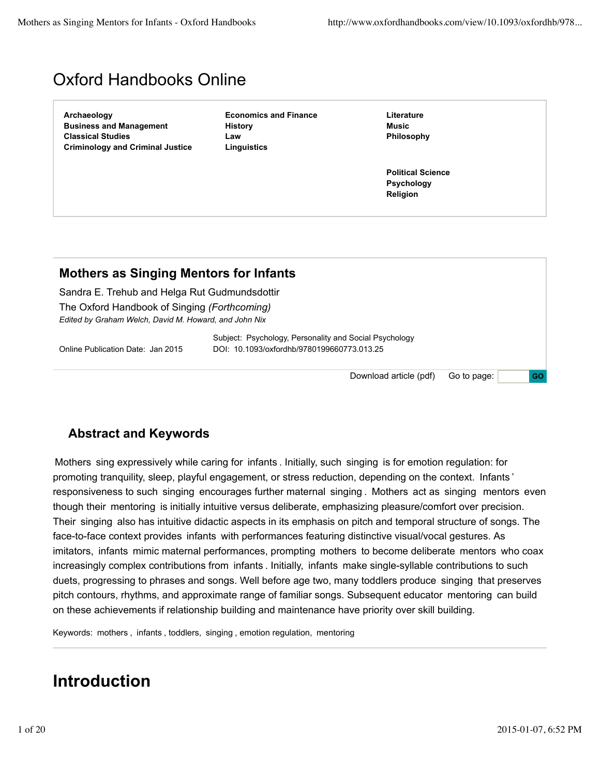# Oxford Handbooks Online

**Archaeology Business and Management Classical Studies Criminology and Criminal Justice**

**Economics and Finance History Law Linguistics**

**Literature Music Philosophy**

**Political Science Psychology Religion**

### **Mothers as Singing Mentors for Infants**

Sandra E. Trehub and Helga Rut Gudmundsdottir The Oxford Handbook of Singing *(Forthcoming) Edited by Graham Welch, David M. Howard, and John Nix*

Subject: Psychology, Personality and Social Psychology Online Publication Date: Jan 2015 DOI: 10.1093/oxfordhb/9780199660773.013.25

> Go to page: **GO** Download article (pdf)

### **Abstract and Keywords**

Mothers sing expressively while caring for infants . Initially, such singing is for emotion regulation: for promoting tranquility, sleep, playful engagement, or stress reduction, depending on the context. Infants ' responsiveness to such singing encourages further maternal singing . Mothers act as singing mentors even though their mentoring is initially intuitive versus deliberate, emphasizing pleasure/comfort over precision. Their singing also has intuitive didactic aspects in its emphasis on pitch and temporal structure of songs. The face-to-face context provides infants with performances featuring distinctive visual/vocal gestures. As imitators, infants mimic maternal performances, prompting mothers to become deliberate mentors who coax increasingly complex contributions from infants . Initially, infants make single-syllable contributions to such duets, progressing to phrases and songs. Well before age two, many toddlers produce singing that preserves pitch contours, rhythms, and approximate range of familiar songs. Subsequent educator mentoring can build on these achievements if relationship building and maintenance have priority over skill building.

Keywords: mothers , infants , toddlers, singing , emotion regulation, mentoring

### **Introduction**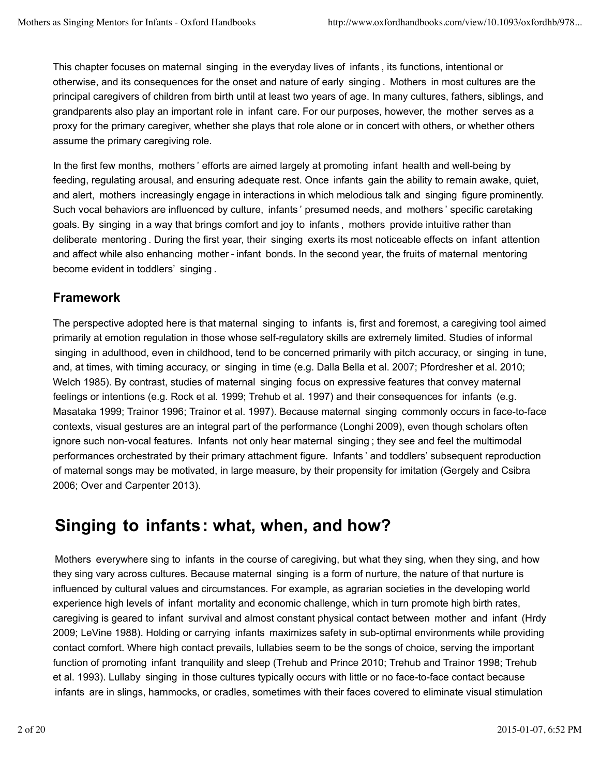This chapter focuses on maternal singing in the everyday lives of infants , its functions, intentional or otherwise, and its consequences for the onset and nature of early singing . Mothers in most cultures are the principal caregivers of children from birth until at least two years of age. In many cultures, fathers, siblings, and grandparents also play an important role in infant care. For our purposes, however, the mother serves as a proxy for the primary caregiver, whether she plays that role alone or in concert with others, or whether others assume the primary caregiving role.

In the first few months, mothers ' efforts are aimed largely at promoting infant health and well-being by feeding, regulating arousal, and ensuring adequate rest. Once infants gain the ability to remain awake, quiet, and alert, mothers increasingly engage in interactions in which melodious talk and singing figure prominently. Such vocal behaviors are influenced by culture, infants ' presumed needs, and mothers ' specific caretaking goals. By singing in a way that brings comfort and joy to infants , mothers provide intuitive rather than deliberate mentoring . During the first year, their singing exerts its most noticeable effects on infant attention and affect while also enhancing mother - infant bonds. In the second year, the fruits of maternal mentoring become evident in toddlers' singing .

### **Framework**

The perspective adopted here is that maternal singing to infants is, first and foremost, a caregiving tool aimed primarily at emotion regulation in those whose self-regulatory skills are extremely limited. Studies of informal singing in adulthood, even in childhood, tend to be concerned primarily with pitch accuracy, or singing in tune, and, at times, with timing accuracy, or singing in time (e.g. Dalla Bella et al. 2007; Pfordresher et al. 2010; Welch 1985). By contrast, studies of maternal singing focus on expressive features that convey maternal feelings or intentions (e.g. Rock et al. 1999; Trehub et al. 1997) and their consequences for infants (e.g. Masataka 1999; Trainor 1996; Trainor et al. 1997). Because maternal singing commonly occurs in face-to-face contexts, visual gestures are an integral part of the performance (Longhi 2009), even though scholars often ignore such non-vocal features. Infants not only hear maternal singing ; they see and feel the multimodal performances orchestrated by their primary attachment figure. Infants ' and toddlers' subsequent reproduction of maternal songs may be motivated, in large measure, by their propensity for imitation (Gergely and Csibra 2006; Over and Carpenter 2013).

# **Singing to infants: what, when, and how?**

Mothers everywhere sing to infants in the course of caregiving, but what they sing, when they sing, and how they sing vary across cultures. Because maternal singing is a form of nurture, the nature of that nurture is influenced by cultural values and circumstances. For example, as agrarian societies in the developing world experience high levels of infant mortality and economic challenge, which in turn promote high birth rates, caregiving is geared to infant survival and almost constant physical contact between mother and infant (Hrdy 2009; LeVine 1988). Holding or carrying infants maximizes safety in sub-optimal environments while providing contact comfort. Where high contact prevails, lullabies seem to be the songs of choice, serving the important function of promoting infant tranquility and sleep (Trehub and Prince 2010; Trehub and Trainor 1998; Trehub et al. 1993). Lullaby singing in those cultures typically occurs with little or no face-to-face contact because infants are in slings, hammocks, or cradles, sometimes with their faces covered to eliminate visual stimulation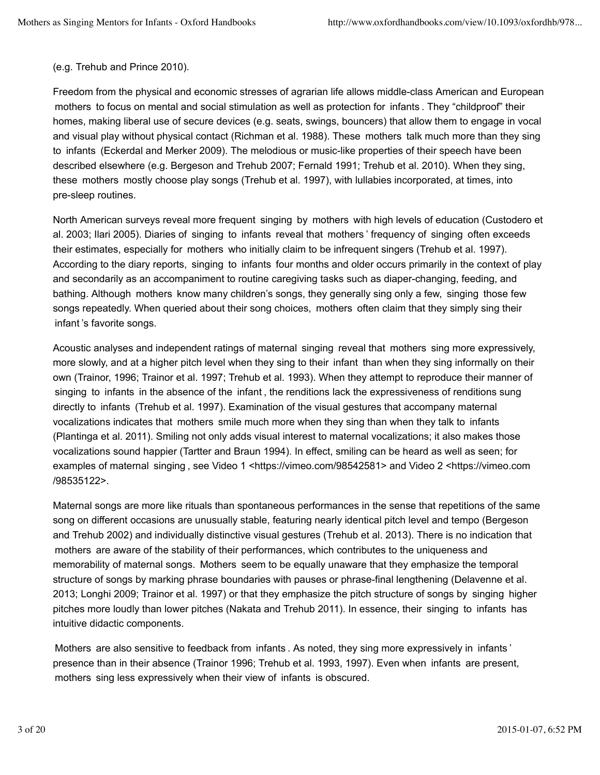#### (e.g. Trehub and Prince 2010).

Freedom from the physical and economic stresses of agrarian life allows middle-class American and European mothers to focus on mental and social stimulation as well as protection for infants . They "childproof" their homes, making liberal use of secure devices (e.g. seats, swings, bouncers) that allow them to engage in vocal and visual play without physical contact (Richman et al. 1988). These mothers talk much more than they sing to infants (Eckerdal and Merker 2009). The melodious or music-like properties of their speech have been described elsewhere (e.g. Bergeson and Trehub 2007; Fernald 1991; Trehub et al. 2010). When they sing, these mothers mostly choose play songs (Trehub et al. 1997), with lullabies incorporated, at times, into pre-sleep routines.

North American surveys reveal more frequent singing by mothers with high levels of education (Custodero et al. 2003; Ilari 2005). Diaries of singing to infants reveal that mothers ' frequency of singing often exceeds their estimates, especially for mothers who initially claim to be infrequent singers (Trehub et al. 1997). According to the diary reports, singing to infants four months and older occurs primarily in the context of play and secondarily as an accompaniment to routine caregiving tasks such as diaper-changing, feeding, and bathing. Although mothers know many children's songs, they generally sing only a few, singing those few songs repeatedly. When queried about their song choices, mothers often claim that they simply sing their infant 's favorite songs.

Acoustic analyses and independent ratings of maternal singing reveal that mothers sing more expressively, more slowly, and at a higher pitch level when they sing to their infant than when they sing informally on their own (Trainor, 1996; Trainor et al. 1997; Trehub et al. 1993). When they attempt to reproduce their manner of singing to infants in the absence of the infant , the renditions lack the expressiveness of renditions sung directly to infants (Trehub et al. 1997). Examination of the visual gestures that accompany maternal vocalizations indicates that mothers smile much more when they sing than when they talk to infants (Plantinga et al. 2011). Smiling not only adds visual interest to maternal vocalizations; it also makes those vocalizations sound happier (Tartter and Braun 1994). In effect, smiling can be heard as well as seen; for examples of maternal singing , see Video 1 <https://vimeo.com/98542581> and Video 2 <https://vimeo.com /98535122>.

Maternal songs are more like rituals than spontaneous performances in the sense that repetitions of the same song on different occasions are unusually stable, featuring nearly identical pitch level and tempo (Bergeson and Trehub 2002) and individually distinctive visual gestures (Trehub et al. 2013). There is no indication that mothers are aware of the stability of their performances, which contributes to the uniqueness and memorability of maternal songs. Mothers seem to be equally unaware that they emphasize the temporal structure of songs by marking phrase boundaries with pauses or phrase-final lengthening (Delavenne et al. 2013; Longhi 2009; Trainor et al. 1997) or that they emphasize the pitch structure of songs by singing higher pitches more loudly than lower pitches (Nakata and Trehub 2011). In essence, their singing to infants has intuitive didactic components.

Mothers are also sensitive to feedback from infants . As noted, they sing more expressively in infants ' presence than in their absence (Trainor 1996; Trehub et al. 1993, 1997). Even when infants are present, mothers sing less expressively when their view of infants is obscured.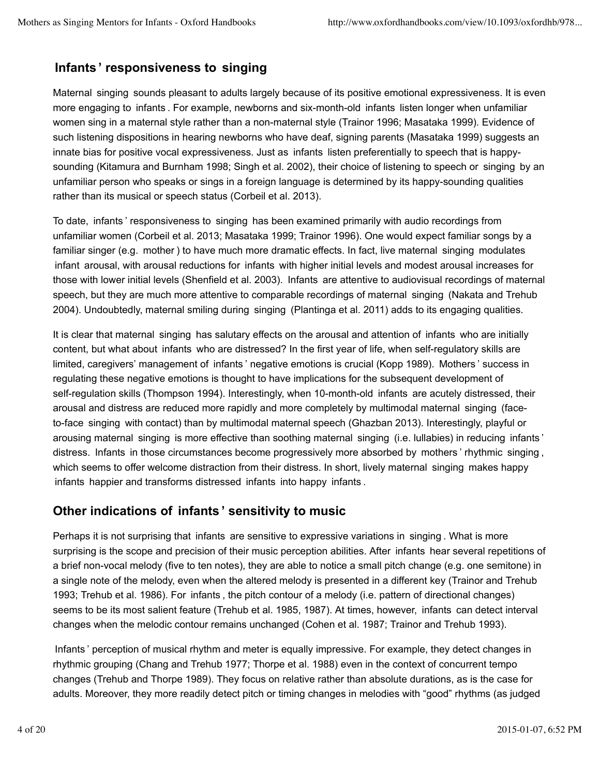### **Infants ' responsiveness to singing**

Maternal singing sounds pleasant to adults largely because of its positive emotional expressiveness. It is even more engaging to infants . For example, newborns and six-month-old infants listen longer when unfamiliar women sing in a maternal style rather than a non-maternal style (Trainor 1996; Masataka 1999). Evidence of such listening dispositions in hearing newborns who have deaf, signing parents (Masataka 1999) suggests an innate bias for positive vocal expressiveness. Just as infants listen preferentially to speech that is happysounding (Kitamura and Burnham 1998; Singh et al. 2002), their choice of listening to speech or singing by an unfamiliar person who speaks or sings in a foreign language is determined by its happy-sounding qualities rather than its musical or speech status (Corbeil et al. 2013).

To date, infants ' responsiveness to singing has been examined primarily with audio recordings from unfamiliar women (Corbeil et al. 2013; Masataka 1999; Trainor 1996). One would expect familiar songs by a familiar singer (e.g. mother ) to have much more dramatic effects. In fact, live maternal singing modulates infant arousal, with arousal reductions for infants with higher initial levels and modest arousal increases for those with lower initial levels (Shenfield et al. 2003). Infants are attentive to audiovisual recordings of maternal speech, but they are much more attentive to comparable recordings of maternal singing (Nakata and Trehub 2004). Undoubtedly, maternal smiling during singing (Plantinga et al. 2011) adds to its engaging qualities.

It is clear that maternal singing has salutary effects on the arousal and attention of infants who are initially content, but what about infants who are distressed? In the first year of life, when self-regulatory skills are limited, caregivers' management of infants ' negative emotions is crucial (Kopp 1989). Mothers ' success in regulating these negative emotions is thought to have implications for the subsequent development of self-regulation skills (Thompson 1994). Interestingly, when 10-month-old infants are acutely distressed, their arousal and distress are reduced more rapidly and more completely by multimodal maternal singing (faceto-face singing with contact) than by multimodal maternal speech (Ghazban 2013). Interestingly, playful or arousing maternal singing is more effective than soothing maternal singing (i.e. lullabies) in reducing infants ' distress. Infants in those circumstances become progressively more absorbed by mothers ' rhythmic singing , which seems to offer welcome distraction from their distress. In short, lively maternal singing makes happy infants happier and transforms distressed infants into happy infants .

#### **Other indications of infants ' sensitivity to music**

Perhaps it is not surprising that infants are sensitive to expressive variations in singing . What is more surprising is the scope and precision of their music perception abilities. After infants hear several repetitions of a brief non-vocal melody (five to ten notes), they are able to notice a small pitch change (e.g. one semitone) in a single note of the melody, even when the altered melody is presented in a different key (Trainor and Trehub 1993; Trehub et al. 1986). For infants , the pitch contour of a melody (i.e. pattern of directional changes) seems to be its most salient feature (Trehub et al. 1985, 1987). At times, however, infants can detect interval changes when the melodic contour remains unchanged (Cohen et al. 1987; Trainor and Trehub 1993).

Infants ' perception of musical rhythm and meter is equally impressive. For example, they detect changes in rhythmic grouping (Chang and Trehub 1977; Thorpe et al. 1988) even in the context of concurrent tempo changes (Trehub and Thorpe 1989). They focus on relative rather than absolute durations, as is the case for adults. Moreover, they more readily detect pitch or timing changes in melodies with "good" rhythms (as judged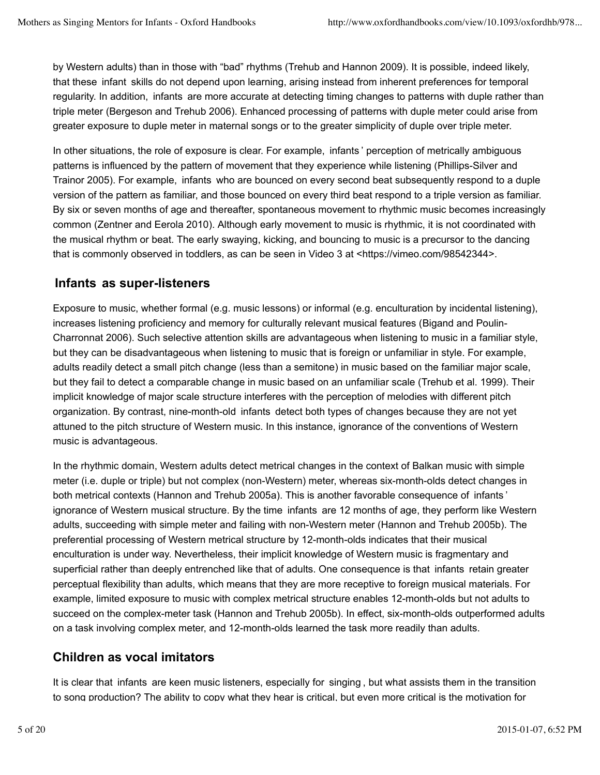by Western adults) than in those with "bad" rhythms (Trehub and Hannon 2009). It is possible, indeed likely, that these infant skills do not depend upon learning, arising instead from inherent preferences for temporal regularity. In addition, infants are more accurate at detecting timing changes to patterns with duple rather than triple meter (Bergeson and Trehub 2006). Enhanced processing of patterns with duple meter could arise from greater exposure to duple meter in maternal songs or to the greater simplicity of duple over triple meter.

In other situations, the role of exposure is clear. For example, infants ' perception of metrically ambiguous patterns is influenced by the pattern of movement that they experience while listening (Phillips-Silver and Trainor 2005). For example, infants who are bounced on every second beat subsequently respond to a duple version of the pattern as familiar, and those bounced on every third beat respond to a triple version as familiar. By six or seven months of age and thereafter, spontaneous movement to rhythmic music becomes increasingly common (Zentner and Eerola 2010). Although early movement to music is rhythmic, it is not coordinated with the musical rhythm or beat. The early swaying, kicking, and bouncing to music is a precursor to the dancing that is commonly observed in toddlers, as can be seen in Video 3 at <https://vimeo.com/98542344>.

#### **Infants as super-listeners**

Exposure to music, whether formal (e.g. music lessons) or informal (e.g. enculturation by incidental listening), increases listening proficiency and memory for culturally relevant musical features (Bigand and Poulin-Charronnat 2006). Such selective attention skills are advantageous when listening to music in a familiar style, but they can be disadvantageous when listening to music that is foreign or unfamiliar in style. For example, adults readily detect a small pitch change (less than a semitone) in music based on the familiar major scale, but they fail to detect a comparable change in music based on an unfamiliar scale (Trehub et al. 1999). Their implicit knowledge of major scale structure interferes with the perception of melodies with different pitch organization. By contrast, nine-month-old infants detect both types of changes because they are not yet attuned to the pitch structure of Western music. In this instance, ignorance of the conventions of Western music is advantageous.

In the rhythmic domain, Western adults detect metrical changes in the context of Balkan music with simple meter (i.e. duple or triple) but not complex (non-Western) meter, whereas six-month-olds detect changes in both metrical contexts (Hannon and Trehub 2005a). This is another favorable consequence of infants ' ignorance of Western musical structure. By the time infants are 12 months of age, they perform like Western adults, succeeding with simple meter and failing with non-Western meter (Hannon and Trehub 2005b). The preferential processing of Western metrical structure by 12-month-olds indicates that their musical enculturation is under way. Nevertheless, their implicit knowledge of Western music is fragmentary and superficial rather than deeply entrenched like that of adults. One consequence is that infants retain greater perceptual flexibility than adults, which means that they are more receptive to foreign musical materials. For example, limited exposure to music with complex metrical structure enables 12-month-olds but not adults to succeed on the complex-meter task (Hannon and Trehub 2005b). In effect, six-month-olds outperformed adults on a task involving complex meter, and 12-month-olds learned the task more readily than adults.

#### **Children as vocal imitators**

It is clear that infants are keen music listeners, especially for singing , but what assists them in the transition to song production? The ability to copy what they hear is critical, but even more critical is the motivation for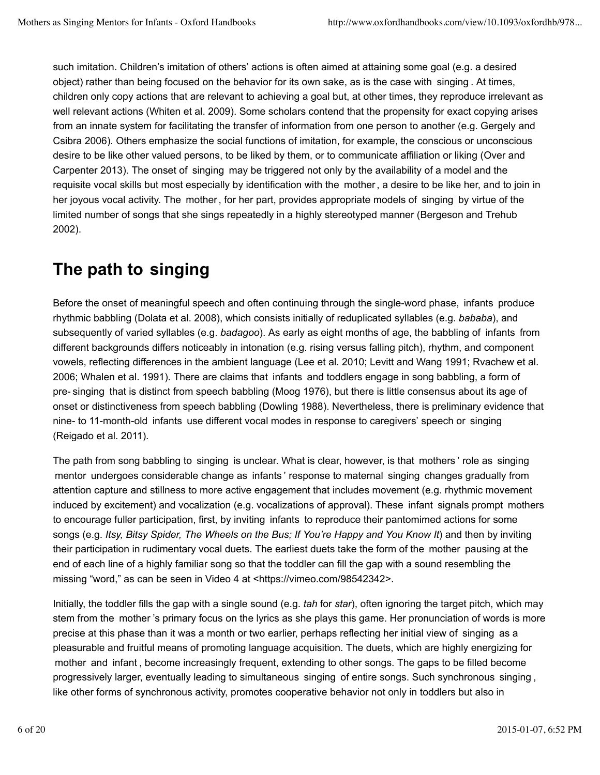such imitation. Children's imitation of others' actions is often aimed at attaining some goal (e.g. a desired object) rather than being focused on the behavior for its own sake, as is the case with singing . At times, children only copy actions that are relevant to achieving a goal but, at other times, they reproduce irrelevant as well relevant actions (Whiten et al. 2009). Some scholars contend that the propensity for exact copying arises from an innate system for facilitating the transfer of information from one person to another (e.g. Gergely and Csibra 2006). Others emphasize the social functions of imitation, for example, the conscious or unconscious desire to be like other valued persons, to be liked by them, or to communicate affiliation or liking (Over and Carpenter 2013). The onset of singing may be triggered not only by the availability of a model and the requisite vocal skills but most especially by identification with the mother, a desire to be like her, and to join in her joyous vocal activity. The mother, for her part, provides appropriate models of singing by virtue of the limited number of songs that she sings repeatedly in a highly stereotyped manner (Bergeson and Trehub 2002).

# **The path to singing**

Before the onset of meaningful speech and often continuing through the single-word phase, infants produce rhythmic babbling (Dolata et al. 2008), which consists initially of reduplicated syllables (e.g. *bababa*), and subsequently of varied syllables (e.g. *badagoo*). As early as eight months of age, the babbling of infants from different backgrounds differs noticeably in intonation (e.g. rising versus falling pitch), rhythm, and component vowels, reflecting differences in the ambient language (Lee et al. 2010; Levitt and Wang 1991; Rvachew et al. 2006; Whalen et al. 1991). There are claims that infants and toddlers engage in song babbling, a form of pre- singing that is distinct from speech babbling (Moog 1976), but there is little consensus about its age of onset or distinctiveness from speech babbling (Dowling 1988). Nevertheless, there is preliminary evidence that nine- to 11-month-old infants use different vocal modes in response to caregivers' speech or singing (Reigado et al. 2011).

The path from song babbling to singing is unclear. What is clear, however, is that mothers ' role as singing mentor undergoes considerable change as infants ' response to maternal singing changes gradually from attention capture and stillness to more active engagement that includes movement (e.g. rhythmic movement induced by excitement) and vocalization (e.g. vocalizations of approval). These infant signals prompt mothers to encourage fuller participation, first, by inviting infants to reproduce their pantomimed actions for some songs (e.g. *Itsy, Bitsy Spider, The Wheels on the Bus; If You're Happy and You Know It*) and then by inviting their participation in rudimentary vocal duets. The earliest duets take the form of the mother pausing at the end of each line of a highly familiar song so that the toddler can fill the gap with a sound resembling the missing "word," as can be seen in Video 4 at <https://vimeo.com/98542342>.

Initially, the toddler fills the gap with a single sound (e.g. *tah* for *star*), often ignoring the target pitch, which may stem from the mother 's primary focus on the lyrics as she plays this game. Her pronunciation of words is more precise at this phase than it was a month or two earlier, perhaps reflecting her initial view of singing as a pleasurable and fruitful means of promoting language acquisition. The duets, which are highly energizing for mother and infant , become increasingly frequent, extending to other songs. The gaps to be filled become progressively larger, eventually leading to simultaneous singing of entire songs. Such synchronous singing , like other forms of synchronous activity, promotes cooperative behavior not only in toddlers but also in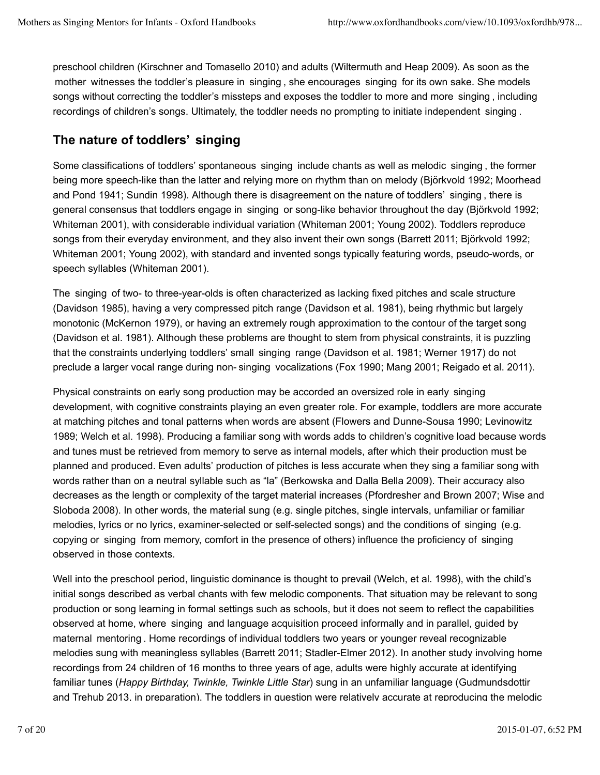preschool children (Kirschner and Tomasello 2010) and adults (Wiltermuth and Heap 2009). As soon as the mother witnesses the toddler's pleasure in singing , she encourages singing for its own sake. She models songs without correcting the toddler's missteps and exposes the toddler to more and more singing , including recordings of children's songs. Ultimately, the toddler needs no prompting to initiate independent singing .

### **The nature of toddlers' singing**

Some classifications of toddlers' spontaneous singing include chants as well as melodic singing , the former being more speech-like than the latter and relying more on rhythm than on melody (Björkvold 1992; Moorhead and Pond 1941; Sundin 1998). Although there is disagreement on the nature of toddlers' singing , there is general consensus that toddlers engage in singing or song-like behavior throughout the day (Björkvold 1992; Whiteman 2001), with considerable individual variation (Whiteman 2001; Young 2002). Toddlers reproduce songs from their everyday environment, and they also invent their own songs (Barrett 2011; Björkvold 1992; Whiteman 2001; Young 2002), with standard and invented songs typically featuring words, pseudo-words, or speech syllables (Whiteman 2001).

The singing of two- to three-year-olds is often characterized as lacking fixed pitches and scale structure (Davidson 1985), having a very compressed pitch range (Davidson et al. 1981), being rhythmic but largely monotonic (McKernon 1979), or having an extremely rough approximation to the contour of the target song (Davidson et al. 1981). Although these problems are thought to stem from physical constraints, it is puzzling that the constraints underlying toddlers' small singing range (Davidson et al. 1981; Werner 1917) do not preclude a larger vocal range during non- singing vocalizations (Fox 1990; Mang 2001; Reigado et al. 2011).

Physical constraints on early song production may be accorded an oversized role in early singing development, with cognitive constraints playing an even greater role. For example, toddlers are more accurate at matching pitches and tonal patterns when words are absent (Flowers and Dunne-Sousa 1990; Levinowitz 1989; Welch et al. 1998). Producing a familiar song with words adds to children's cognitive load because words and tunes must be retrieved from memory to serve as internal models, after which their production must be planned and produced. Even adults' production of pitches is less accurate when they sing a familiar song with words rather than on a neutral syllable such as "la" (Berkowska and Dalla Bella 2009). Their accuracy also decreases as the length or complexity of the target material increases (Pfordresher and Brown 2007; Wise and Sloboda 2008). In other words, the material sung (e.g. single pitches, single intervals, unfamiliar or familiar melodies, lyrics or no lyrics, examiner-selected or self-selected songs) and the conditions of singing (e.g. copying or singing from memory, comfort in the presence of others) influence the proficiency of singing observed in those contexts.

Well into the preschool period, linguistic dominance is thought to prevail (Welch, et al. 1998), with the child's initial songs described as verbal chants with few melodic components. That situation may be relevant to song production or song learning in formal settings such as schools, but it does not seem to reflect the capabilities observed at home, where singing and language acquisition proceed informally and in parallel, guided by maternal mentoring . Home recordings of individual toddlers two years or younger reveal recognizable melodies sung with meaningless syllables (Barrett 2011; Stadler-Elmer 2012). In another study involving home recordings from 24 children of 16 months to three years of age, adults were highly accurate at identifying familiar tunes (*Happy Birthday, Twinkle, Twinkle Little Star*) sung in an unfamiliar language (Gudmundsdottir and Trehub 2013, in preparation). The toddlers in question were relatively accurate at reproducing the melodic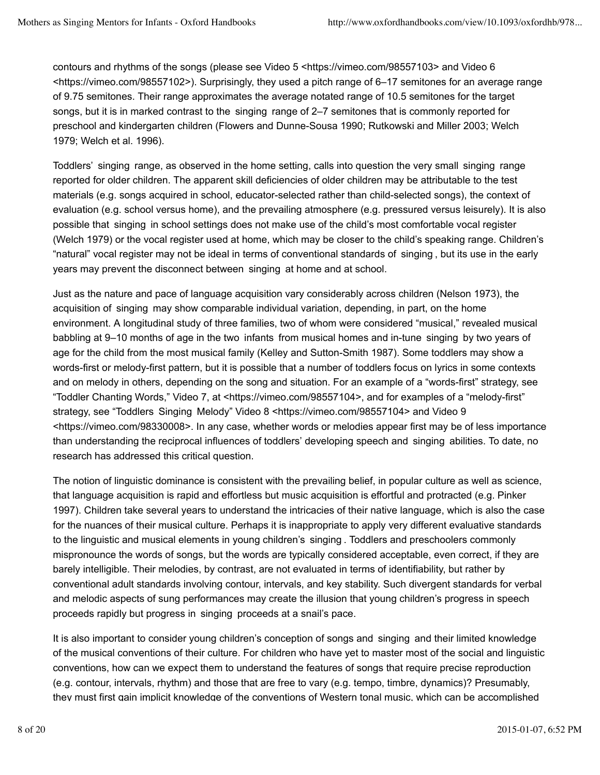contours and rhythms of the songs (please see Video 5 <https://vimeo.com/98557103> and Video 6 <https://vimeo.com/98557102>). Surprisingly, they used a pitch range of 6–17 semitones for an average range of 9.75 semitones. Their range approximates the average notated range of 10.5 semitones for the target songs, but it is in marked contrast to the singing range of 2–7 semitones that is commonly reported for preschool and kindergarten children (Flowers and Dunne-Sousa 1990; Rutkowski and Miller 2003; Welch 1979; Welch et al. 1996).

Toddlers' singing range, as observed in the home setting, calls into question the very small singing range reported for older children. The apparent skill deficiencies of older children may be attributable to the test materials (e.g. songs acquired in school, educator-selected rather than child-selected songs), the context of evaluation (e.g. school versus home), and the prevailing atmosphere (e.g. pressured versus leisurely). It is also possible that singing in school settings does not make use of the child's most comfortable vocal register (Welch 1979) or the vocal register used at home, which may be closer to the child's speaking range. Children's "natural" vocal register may not be ideal in terms of conventional standards of singing , but its use in the early years may prevent the disconnect between singing at home and at school.

Just as the nature and pace of language acquisition vary considerably across children (Nelson 1973), the acquisition of singing may show comparable individual variation, depending, in part, on the home environment. A longitudinal study of three families, two of whom were considered "musical," revealed musical babbling at 9–10 months of age in the two infants from musical homes and in-tune singing by two years of age for the child from the most musical family (Kelley and Sutton-Smith 1987). Some toddlers may show a words-first or melody-first pattern, but it is possible that a number of toddlers focus on lyrics in some contexts and on melody in others, depending on the song and situation. For an example of a "words-first" strategy, see "Toddler Chanting Words," Video 7, at <https://vimeo.com/98557104>, and for examples of a "melody-first" strategy, see "Toddlers Singing Melody" Video 8 <https://vimeo.com/98557104> and Video 9 <https://vimeo.com/98330008>. In any case, whether words or melodies appear first may be of less importance than understanding the reciprocal influences of toddlers' developing speech and singing abilities. To date, no research has addressed this critical question.

The notion of linguistic dominance is consistent with the prevailing belief, in popular culture as well as science, that language acquisition is rapid and effortless but music acquisition is effortful and protracted (e.g. Pinker 1997). Children take several years to understand the intricacies of their native language, which is also the case for the nuances of their musical culture. Perhaps it is inappropriate to apply very different evaluative standards to the linguistic and musical elements in young children's singing . Toddlers and preschoolers commonly mispronounce the words of songs, but the words are typically considered acceptable, even correct, if they are barely intelligible. Their melodies, by contrast, are not evaluated in terms of identifiability, but rather by conventional adult standards involving contour, intervals, and key stability. Such divergent standards for verbal and melodic aspects of sung performances may create the illusion that young children's progress in speech proceeds rapidly but progress in singing proceeds at a snail's pace.

It is also important to consider young children's conception of songs and singing and their limited knowledge of the musical conventions of their culture. For children who have yet to master most of the social and linguistic conventions, how can we expect them to understand the features of songs that require precise reproduction (e.g. contour, intervals, rhythm) and those that are free to vary (e.g. tempo, timbre, dynamics)? Presumably, they must first gain implicit knowledge of the conventions of Western tonal music, which can be accomplished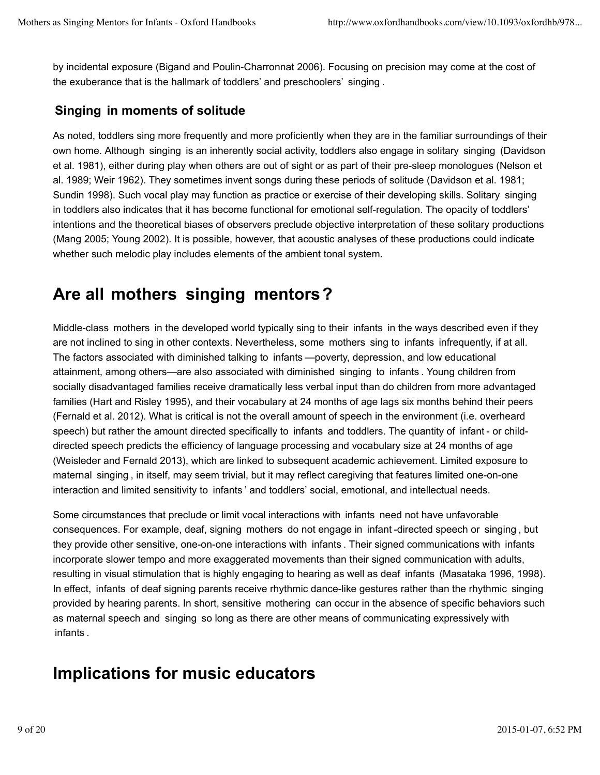by incidental exposure (Bigand and Poulin-Charronnat 2006). Focusing on precision may come at the cost of the exuberance that is the hallmark of toddlers' and preschoolers' singing .

### **Singing in moments of solitude**

As noted, toddlers sing more frequently and more proficiently when they are in the familiar surroundings of their own home. Although singing is an inherently social activity, toddlers also engage in solitary singing (Davidson et al. 1981), either during play when others are out of sight or as part of their pre-sleep monologues (Nelson et al. 1989; Weir 1962). They sometimes invent songs during these periods of solitude (Davidson et al. 1981; Sundin 1998). Such vocal play may function as practice or exercise of their developing skills. Solitary singing in toddlers also indicates that it has become functional for emotional self-regulation. The opacity of toddlers' intentions and the theoretical biases of observers preclude objective interpretation of these solitary productions (Mang 2005; Young 2002). It is possible, however, that acoustic analyses of these productions could indicate whether such melodic play includes elements of the ambient tonal system.

### **Are all mothers singing mentors?**

Middle-class mothers in the developed world typically sing to their infants in the ways described even if they are not inclined to sing in other contexts. Nevertheless, some mothers sing to infants infrequently, if at all. The factors associated with diminished talking to infants —poverty, depression, and low educational attainment, among others—are also associated with diminished singing to infants . Young children from socially disadvantaged families receive dramatically less verbal input than do children from more advantaged families (Hart and Risley 1995), and their vocabulary at 24 months of age lags six months behind their peers (Fernald et al. 2012). What is critical is not the overall amount of speech in the environment (i.e. overheard speech) but rather the amount directed specifically to infants and toddlers. The quantity of infant - or childdirected speech predicts the efficiency of language processing and vocabulary size at 24 months of age (Weisleder and Fernald 2013), which are linked to subsequent academic achievement. Limited exposure to maternal singing , in itself, may seem trivial, but it may reflect caregiving that features limited one-on-one interaction and limited sensitivity to infants ' and toddlers' social, emotional, and intellectual needs.

Some circumstances that preclude or limit vocal interactions with infants need not have unfavorable consequences. For example, deaf, signing mothers do not engage in infant -directed speech or singing , but they provide other sensitive, one-on-one interactions with infants . Their signed communications with infants incorporate slower tempo and more exaggerated movements than their signed communication with adults, resulting in visual stimulation that is highly engaging to hearing as well as deaf infants (Masataka 1996, 1998). In effect, infants of deaf signing parents receive rhythmic dance-like gestures rather than the rhythmic singing provided by hearing parents. In short, sensitive mothering can occur in the absence of specific behaviors such as maternal speech and singing so long as there are other means of communicating expressively with infants .

# **Implications for music educators**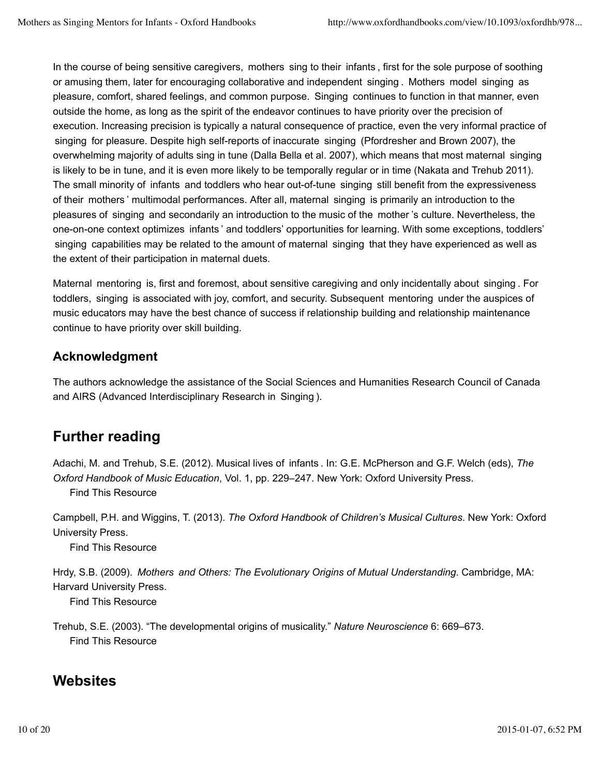In the course of being sensitive caregivers, mothers sing to their infants , first for the sole purpose of soothing or amusing them, later for encouraging collaborative and independent singing . Mothers model singing as pleasure, comfort, shared feelings, and common purpose. Singing continues to function in that manner, even outside the home, as long as the spirit of the endeavor continues to have priority over the precision of execution. Increasing precision is typically a natural consequence of practice, even the very informal practice of singing for pleasure. Despite high self-reports of inaccurate singing (Pfordresher and Brown 2007), the overwhelming majority of adults sing in tune (Dalla Bella et al. 2007), which means that most maternal singing is likely to be in tune, and it is even more likely to be temporally regular or in time (Nakata and Trehub 2011). The small minority of infants and toddlers who hear out-of-tune singing still benefit from the expressiveness of their mothers ' multimodal performances. After all, maternal singing is primarily an introduction to the pleasures of singing and secondarily an introduction to the music of the mother 's culture. Nevertheless, the one-on-one context optimizes infants ' and toddlers' opportunities for learning. With some exceptions, toddlers' singing capabilities may be related to the amount of maternal singing that they have experienced as well as the extent of their participation in maternal duets.

Maternal mentoring is, first and foremost, about sensitive caregiving and only incidentally about singing . For toddlers, singing is associated with joy, comfort, and security. Subsequent mentoring under the auspices of music educators may have the best chance of success if relationship building and relationship maintenance continue to have priority over skill building.

### **Acknowledgment**

The authors acknowledge the assistance of the Social Sciences and Humanities Research Council of Canada and AIRS (Advanced Interdisciplinary Research in Singing ).

### **Further reading**

Adachi, M. and Trehub, S.E. (2012). Musical lives of infants . In: G.E. McPherson and G.F. Welch (eds), *The Oxford Handbook of Music Education*, Vol. 1, pp. 229–247. New York: Oxford University Press.

Find This Resource

Campbell, P.H. and Wiggins, T. (2013). *The Oxford Handbook of Children's Musical Cultures*. New York: Oxford University Press.

Find This Resource

Hrdy, S.B. (2009). *Mothers and Others: The Evolutionary Origins of Mutual Understanding*. Cambridge, MA: Harvard University Press.

Find This Resource

Trehub, S.E. (2003). "The developmental origins of musicality." *Nature Neuroscience* 6: 669–673. Find This Resource

### **Websites**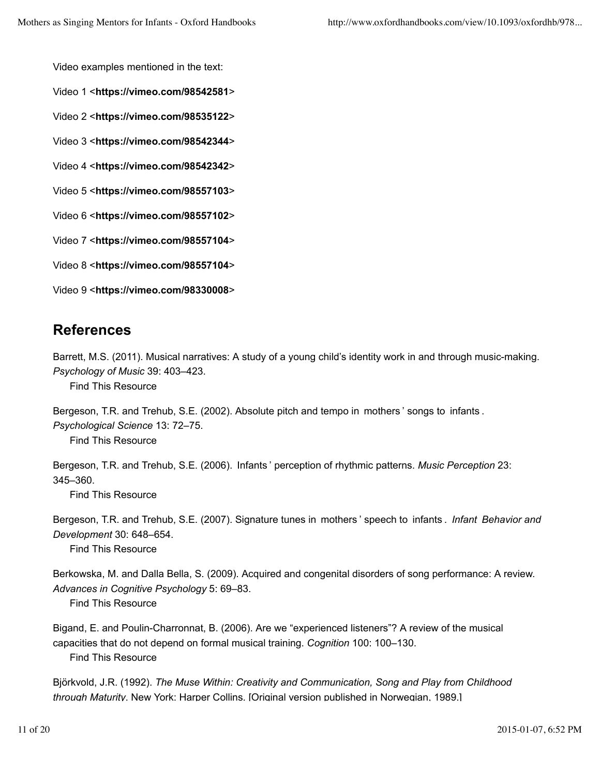Video examples mentioned in the text:

Video 1 <**https://vimeo.com/98542581**>

Video 2 <**https://vimeo.com/98535122**>

Video 3 <**https://vimeo.com/98542344**>

Video 4 <**https://vimeo.com/98542342**>

Video 5 <**https://vimeo.com/98557103**>

Video 6 <**https://vimeo.com/98557102**>

Video 7 <**https://vimeo.com/98557104**>

Video 8 <**https://vimeo.com/98557104**>

Video 9 <**https://vimeo.com/98330008**>

### **References**

Barrett, M.S. (2011). Musical narratives: A study of a young child's identity work in and through music-making. *Psychology of Music* 39: 403–423.

Find This Resource

Bergeson, T.R. and Trehub, S.E. (2002). Absolute pitch and tempo in mothers ' songs to infants . *Psychological Science* 13: 72–75.

Find This Resource

Bergeson, T.R. and Trehub, S.E. (2006). Infants ' perception of rhythmic patterns. *Music Perception* 23: 345–360.

Find This Resource

Bergeson, T.R. and Trehub, S.E. (2007). Signature tunes in mothers ' speech to infants . *Infant Behavior and Development* 30: 648–654.

Find This Resource

Berkowska, M. and Dalla Bella, S. (2009). Acquired and congenital disorders of song performance: A review. *Advances in Cognitive Psychology* 5: 69–83.

Find This Resource

Bigand, E. and Poulin-Charronnat, B. (2006). Are we "experienced listeners"? A review of the musical capacities that do not depend on formal musical training. *Cognition* 100: 100–130. Find This Resource

Björkvold, J.R. (1992). *The Muse Within: Creativity and Communication, Song and Play from Childhood through Maturity*. New York: Harper Collins. [Original version published in Norwegian, 1989.]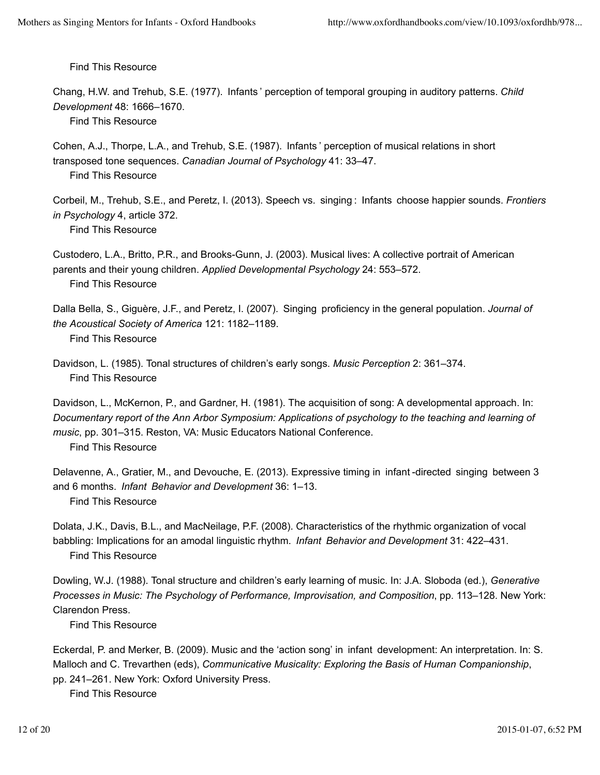Chang, H.W. and Trehub, S.E. (1977). Infants ' perception of temporal grouping in auditory patterns. *Child Development* 48: 1666–1670.

Find This Resource

Cohen, A.J., Thorpe, L.A., and Trehub, S.E. (1987). Infants ' perception of musical relations in short transposed tone sequences. *Canadian Journal of Psychology* 41: 33–47.

Find This Resource

Corbeil, M., Trehub, S.E., and Peretz, I. (2013). Speech vs. singing : Infants choose happier sounds. *Frontiers in Psychology* 4, article 372.

Find This Resource

Custodero, L.A., Britto, P.R., and Brooks-Gunn, J. (2003). Musical lives: A collective portrait of American parents and their young children. *Applied Developmental Psychology* 24: 553–572.

Find This Resource

Dalla Bella, S., Giguère, J.F., and Peretz, I. (2007). Singing proficiency in the general population. *Journal of the Acoustical Society of America* 121: 1182–1189.

Find This Resource

Davidson, L. (1985). Tonal structures of children's early songs. *Music Perception* 2: 361–374. Find This Resource

Davidson, L., McKernon, P., and Gardner, H. (1981). The acquisition of song: A developmental approach. In: *Documentary report of the Ann Arbor Symposium: Applications of psychology to the teaching and learning of music*, pp. 301–315. Reston, VA: Music Educators National Conference.

Find This Resource

Delavenne, A., Gratier, M., and Devouche, E. (2013). Expressive timing in infant -directed singing between 3 and 6 months. *Infant Behavior and Development* 36: 1–13. Find This Resource

Dolata, J.K., Davis, B.L., and MacNeilage, P.F. (2008). Characteristics of the rhythmic organization of vocal babbling: Implications for an amodal linguistic rhythm. *Infant Behavior and Development* 31: 422–431. Find This Resource

Dowling, W.J. (1988). Tonal structure and children's early learning of music. In: J.A. Sloboda (ed.), *Generative Processes in Music: The Psychology of Performance, Improvisation, and Composition*, pp. 113–128. New York: Clarendon Press.

Find This Resource

Eckerdal, P. and Merker, B. (2009). Music and the 'action song' in infant development: An interpretation. In: S. Malloch and C. Trevarthen (eds), *Communicative Musicality: Exploring the Basis of Human Companionship*, pp. 241–261. New York: Oxford University Press.

Find This Resource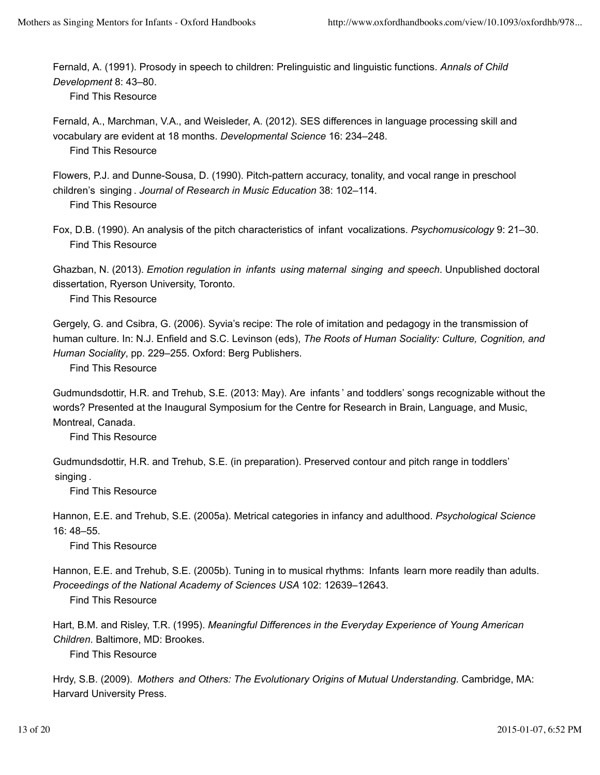Fernald, A. (1991). Prosody in speech to children: Prelinguistic and linguistic functions. *Annals of Child Development* 8: 43–80.

Find This Resource

Fernald, A., Marchman, V.A., and Weisleder, A. (2012). SES differences in language processing skill and vocabulary are evident at 18 months. *Developmental Science* 16: 234–248. Find This Resource

Flowers, P.J. and Dunne-Sousa, D. (1990). Pitch-pattern accuracy, tonality, and vocal range in preschool children's singing . *Journal of Research in Music Education* 38: 102–114. Find This Resource

Fox, D.B. (1990). An analysis of the pitch characteristics of infant vocalizations. *Psychomusicology* 9: 21–30. Find This Resource

Ghazban, N. (2013). *Emotion regulation in infants using maternal singing and speech*. Unpublished doctoral dissertation, Ryerson University, Toronto.

Find This Resource

Gergely, G. and Csibra, G. (2006). Syvia's recipe: The role of imitation and pedagogy in the transmission of human culture. In: N.J. Enfield and S.C. Levinson (eds), *The Roots of Human Sociality: Culture, Cognition, and Human Sociality*, pp. 229–255. Oxford: Berg Publishers.

Find This Resource

Gudmundsdottir, H.R. and Trehub, S.E. (2013: May). Are infants ' and toddlers' songs recognizable without the words? Presented at the Inaugural Symposium for the Centre for Research in Brain, Language, and Music, Montreal, Canada.

Find This Resource

Gudmundsdottir, H.R. and Trehub, S.E. (in preparation). Preserved contour and pitch range in toddlers' singing .

Find This Resource

Hannon, E.E. and Trehub, S.E. (2005a). Metrical categories in infancy and adulthood. *Psychological Science*  $16: 48 - 55$ 

Find This Resource

Hannon, E.E. and Trehub, S.E. (2005b). Tuning in to musical rhythms: Infants learn more readily than adults. *Proceedings of the National Academy of Sciences USA* 102: 12639–12643.

Find This Resource

Hart, B.M. and Risley, T.R. (1995). *Meaningful Differences in the Everyday Experience of Young American Children*. Baltimore, MD: Brookes.

Find This Resource

Hrdy, S.B. (2009). *Mothers and Others: The Evolutionary Origins of Mutual Understanding*. Cambridge, MA: Harvard University Press.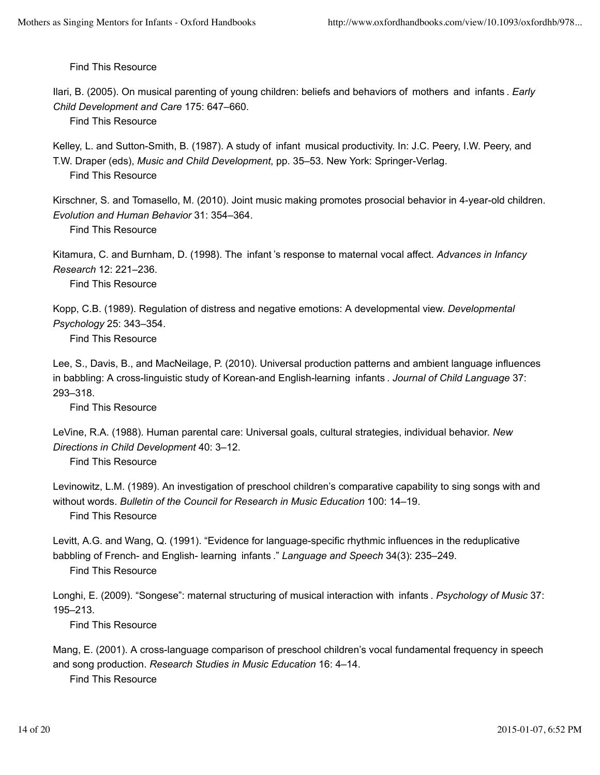Ilari, B. (2005). On musical parenting of young children: beliefs and behaviors of mothers and infants . *Early Child Development and Care* 175: 647–660.

Find This Resource

Kelley, L. and Sutton-Smith, B. (1987). A study of infant musical productivity. In: J.C. Peery, I.W. Peery, and T.W. Draper (eds), *Music and Child Development*, pp. 35–53. New York: Springer-Verlag. Find This Resource

Kirschner, S. and Tomasello, M. (2010). Joint music making promotes prosocial behavior in 4-year-old children. *Evolution and Human Behavior* 31: 354–364.

Find This Resource

Kitamura, C. and Burnham, D. (1998). The infant 's response to maternal vocal affect. *Advances in Infancy Research* 12: 221–236.

Find This Resource

Kopp, C.B. (1989). Regulation of distress and negative emotions: A developmental view. *Developmental Psychology* 25: 343–354.

Find This Resource

Lee, S., Davis, B., and MacNeilage, P. (2010). Universal production patterns and ambient language influences in babbling: A cross-linguistic study of Korean-and English-learning infants . *Journal of Child Language* 37: 293–318.

Find This Resource

LeVine, R.A. (1988). Human parental care: Universal goals, cultural strategies, individual behavior. *New Directions in Child Development* 40: 3–12.

Find This Resource

Levinowitz, L.M. (1989). An investigation of preschool children's comparative capability to sing songs with and without words. *Bulletin of the Council for Research in Music Education* 100: 14–19. Find This Resource

Levitt, A.G. and Wang, Q. (1991). "Evidence for language-specific rhythmic influences in the reduplicative babbling of French- and English- learning infants ." *Language and Speech* 34(3): 235–249.

Find This Resource

Longhi, E. (2009). "Songese": maternal structuring of musical interaction with infants . *Psychology of Music* 37: 195–213.

Find This Resource

Mang, E. (2001). A cross-language comparison of preschool children's vocal fundamental frequency in speech and song production. *Research Studies in Music Education* 16: 4–14. Find This Resource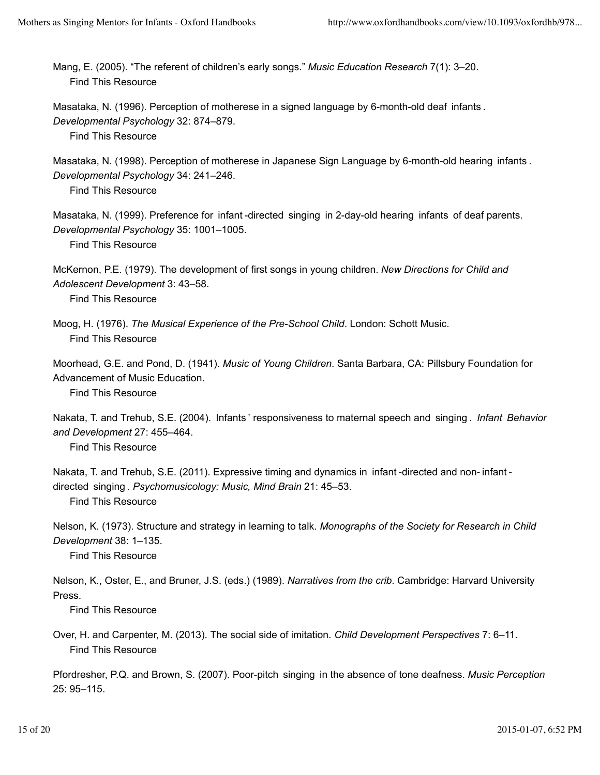Mang, E. (2005). "The referent of children's early songs." *Music Education Research* 7(1): 3–20. Find This Resource

Masataka, N. (1996). Perception of motherese in a signed language by 6-month-old deaf infants . *Developmental Psychology* 32: 874–879. Find This Resource

Masataka, N. (1998). Perception of motherese in Japanese Sign Language by 6-month-old hearing infants . *Developmental Psychology* 34: 241–246.

Find This Resource

Masataka, N. (1999). Preference for infant -directed singing in 2-day-old hearing infants of deaf parents. *Developmental Psychology* 35: 1001–1005.

Find This Resource

McKernon, P.E. (1979). The development of first songs in young children. *New Directions for Child and Adolescent Development* 3: 43–58.

Find This Resource

Moog, H. (1976). *The Musical Experience of the Pre-School Child*. London: Schott Music. Find This Resource

Moorhead, G.E. and Pond, D. (1941). *Music of Young Children*. Santa Barbara, CA: Pillsbury Foundation for Advancement of Music Education.

Find This Resource

Nakata, T. and Trehub, S.E. (2004). Infants ' responsiveness to maternal speech and singing . *Infant Behavior and Development* 27: 455–464.

Find This Resource

Nakata, T. and Trehub, S.E. (2011). Expressive timing and dynamics in infant -directed and non- infant directed singing . *Psychomusicology: Music, Mind Brain* 21: 45–53. Find This Resource

Nelson, K. (1973). Structure and strategy in learning to talk. *Monographs of the Society for Research in Child Development* 38: 1–135.

Find This Resource

Nelson, K., Oster, E., and Bruner, J.S. (eds.) (1989). *Narratives from the crib*. Cambridge: Harvard University Press.

Find This Resource

Over, H. and Carpenter, M. (2013). The social side of imitation. *Child Development Perspectives* 7: 6–11. Find This Resource

Pfordresher, P.Q. and Brown, S. (2007). Poor-pitch singing in the absence of tone deafness. *Music Perception* 25: 95–115.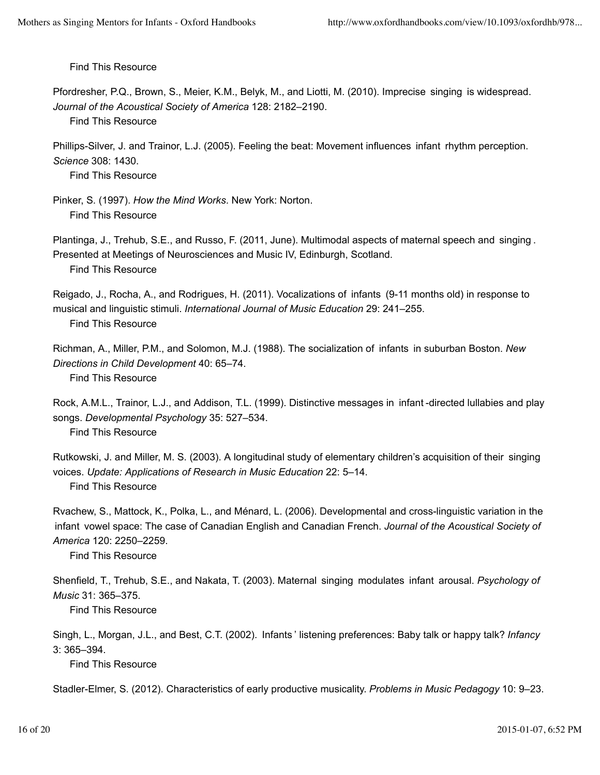Pfordresher, P.Q., Brown, S., Meier, K.M., Belyk, M., and Liotti, M. (2010). Imprecise singing is widespread. *Journal of the Acoustical Society of America* 128: 2182–2190.

Find This Resource

Phillips-Silver, J. and Trainor, L.J. (2005). Feeling the beat: Movement influences infant rhythm perception. *Science* 308: 1430.

Find This Resource

Pinker, S. (1997). *How the Mind Works*. New York: Norton. Find This Resource

Plantinga, J., Trehub, S.E., and Russo, F. (2011, June). Multimodal aspects of maternal speech and singing . Presented at Meetings of Neurosciences and Music IV, Edinburgh, Scotland. Find This Resource

Reigado, J., Rocha, A., and Rodrigues, H. (2011). Vocalizations of infants (9-11 months old) in response to musical and linguistic stimuli. *International Journal of Music Education* 29: 241–255. Find This Resource

Richman, A., Miller, P.M., and Solomon, M.J. (1988). The socialization of infants in suburban Boston. *New Directions in Child Development* 40: 65–74.

Find This Resource

Rock, A.M.L., Trainor, L.J., and Addison, T.L. (1999). Distinctive messages in infant -directed lullabies and play songs. *Developmental Psychology* 35: 527–534.

Find This Resource

Rutkowski, J. and Miller, M. S. (2003). A longitudinal study of elementary children's acquisition of their singing voices. *Update: Applications of Research in Music Education* 22: 5–14. Find This Resource

Rvachew, S., Mattock, K., Polka, L., and Ménard, L. (2006). Developmental and cross-linguistic variation in the infant vowel space: The case of Canadian English and Canadian French. *Journal of the Acoustical Society of America* 120: 2250–2259.

Find This Resource

Shenfield, T., Trehub, S.E., and Nakata, T. (2003). Maternal singing modulates infant arousal. *Psychology of Music* 31: 365–375.

Find This Resource

Singh, L., Morgan, J.L., and Best, C.T. (2002). Infants ' listening preferences: Baby talk or happy talk? *Infancy* 3: 365–394.

Find This Resource

Stadler-Elmer, S. (2012). Characteristics of early productive musicality. *Problems in Music Pedagogy* 10: 9–23.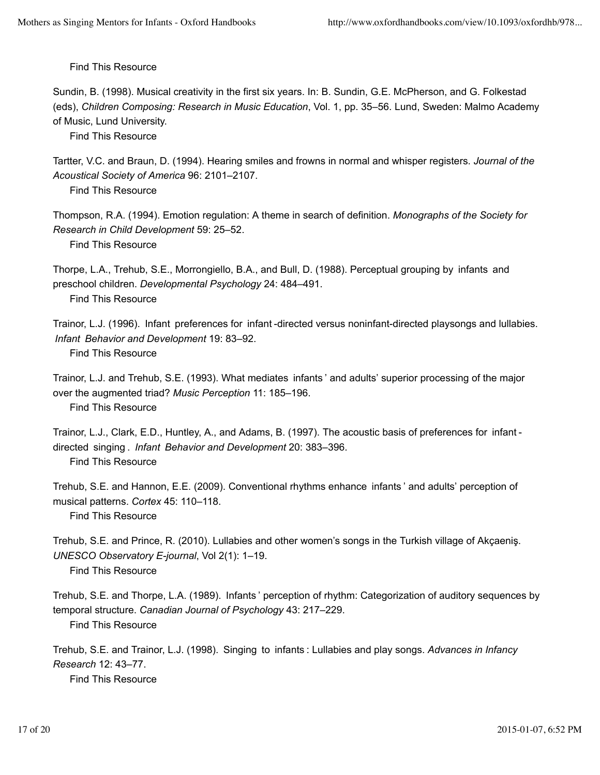Sundin, B. (1998). Musical creativity in the first six years. In: B. Sundin, G.E. McPherson, and G. Folkestad (eds), *Children Composing: Research in Music Education*, Vol. 1, pp. 35–56. Lund, Sweden: Malmo Academy of Music, Lund University.

Find This Resource

Tartter, V.C. and Braun, D. (1994). Hearing smiles and frowns in normal and whisper registers. *Journal of the Acoustical Society of America* 96: 2101–2107.

Find This Resource

Thompson, R.A. (1994). Emotion regulation: A theme in search of definition. *Monographs of the Society for Research in Child Development* 59: 25–52.

Find This Resource

Thorpe, L.A., Trehub, S.E., Morrongiello, B.A., and Bull, D. (1988). Perceptual grouping by infants and preschool children. *Developmental Psychology* 24: 484–491.

Find This Resource

Trainor, L.J. (1996). Infant preferences for infant -directed versus noninfant-directed playsongs and lullabies. *Infant Behavior and Development* 19: 83–92.

Find This Resource

Trainor, L.J. and Trehub, S.E. (1993). What mediates infants ' and adults' superior processing of the major over the augmented triad? *Music Perception* 11: 185–196. Find This Resource

Trainor, L.J., Clark, E.D., Huntley, A., and Adams, B. (1997). The acoustic basis of preferences for infant directed singing . *Infant Behavior and Development* 20: 383–396. Find This Resource

Trehub, S.E. and Hannon, E.E. (2009). Conventional rhythms enhance infants ' and adults' perception of musical patterns. *Cortex* 45: 110–118.

Find This Resource

Trehub, S.E. and Prince, R. (2010). Lullabies and other women's songs in the Turkish village of Akçaeniş. *UNESCO Observatory E-journal*, Vol 2(1): 1–19.

Find This Resource

Trehub, S.E. and Thorpe, L.A. (1989). Infants ' perception of rhythm: Categorization of auditory sequences by temporal structure. *Canadian Journal of Psychology* 43: 217–229. Find This Resource

Trehub, S.E. and Trainor, L.J. (1998). Singing to infants : Lullabies and play songs. *Advances in Infancy Research* 12: 43–77.

Find This Resource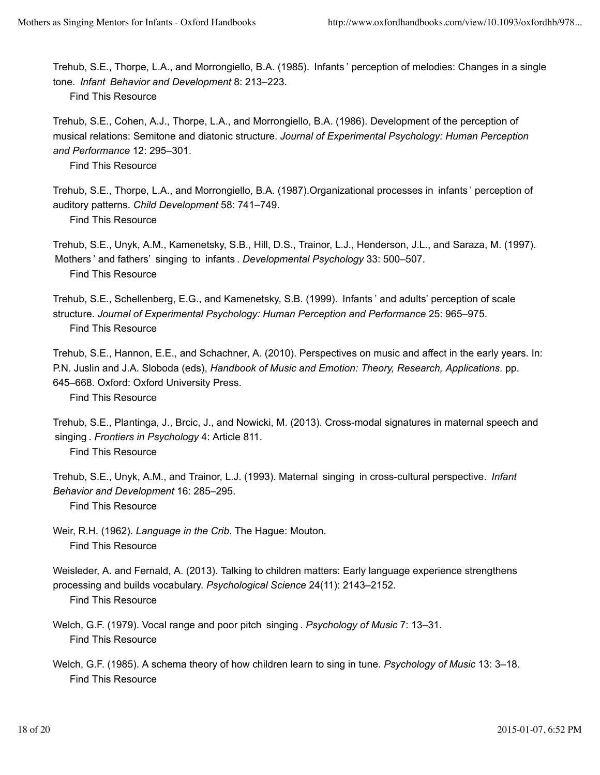Trehub, S.E., Thorpe, L.A., and Morrongiello, B.A. (1985). Infants ' perception of melodies: Changes in a single tone. *Infant Behavior and Development* 8: 213–223.

Find This Resource

Trehub, S.E., Cohen, A.J., Thorpe, L.A., and Morrongiello, B.A. (1986). Development of the perception of musical relations: Semitone and diatonic structure. *Journal of Experimental Psychology: Human Perception and Performance* 12: 295–301.

Find This Resource

Trehub, S.E., Thorpe, L.A., and Morrongiello, B.A. (1987).Organizational processes in infants ' perception of auditory patterns. *Child Development* 58: 741–749.

Find This Resource

Trehub, S.E., Unyk, A.M., Kamenetsky, S.B., Hill, D.S., Trainor, L.J., Henderson, J.L., and Saraza, M. (1997). Mothers ' and fathers' singing to infants . *Developmental Psychology* 33: 500–507. Find This Resource

Trehub, S.E., Schellenberg, E.G., and Kamenetsky, S.B. (1999). Infants ' and adults' perception of scale structure. *Journal of Experimental Psychology: Human Perception and Performance* 25: 965–975. Find This Resource

Trehub, S.E., Hannon, E.E., and Schachner, A. (2010). Perspectives on music and affect in the early years. In: P.N. Juslin and J.A. Sloboda (eds), *Handbook of Music and Emotion: Theory, Research, Applications*. pp. 645–668. Oxford: Oxford University Press.

Find This Resource

Trehub, S.E., Plantinga, J., Brcic, J., and Nowicki, M. (2013). Cross-modal signatures in maternal speech and singing . *Frontiers in Psychology* 4: Article 811.

Find This Resource

Trehub, S.E., Unyk, A.M., and Trainor, L.J. (1993). Maternal singing in cross-cultural perspective. *Infant Behavior and Development* 16: 285–295.

Find This Resource

Weir, R.H. (1962). *Language in the Crib*. The Hague: Mouton. Find This Resource

Weisleder, A. and Fernald, A. (2013). Talking to children matters: Early language experience strengthens processing and builds vocabulary. *Psychological Science* 24(11): 2143–2152.

Find This Resource

Welch, G.F. (1979). Vocal range and poor pitch singing . *Psychology of Music* 7: 13–31. Find This Resource

Welch, G.F. (1985). A schema theory of how children learn to sing in tune. *Psychology of Music* 13: 3–18. Find This Resource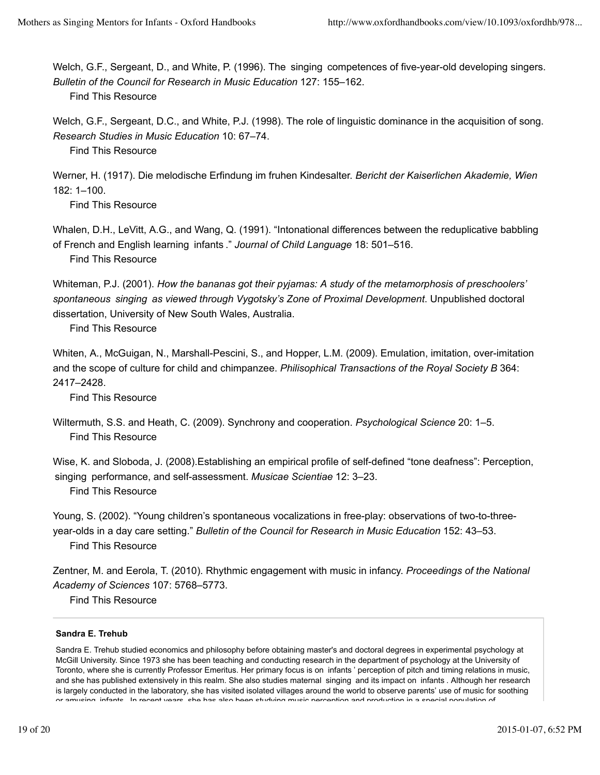Welch, G.F., Sergeant, D., and White, P. (1996). The singing competences of five-year-old developing singers. *Bulletin of the Council for Research in Music Education* 127: 155–162. Find This Resource

Welch, G.F., Sergeant, D.C., and White, P.J. (1998). The role of linguistic dominance in the acquisition of song. *Research Studies in Music Education* 10: 67–74.

Find This Resource

Werner, H. (1917). Die melodische Erfindung im fruhen Kindesalter. *Bericht der Kaiserlichen Akademie, Wien* 182: 1–100.

Find This Resource

Whalen, D.H., LeVitt, A.G., and Wang, Q. (1991). "Intonational differences between the reduplicative babbling of French and English learning infants ." *Journal of Child Language* 18: 501–516.

Find This Resource

Whiteman, P.J. (2001). *How the bananas got their pyjamas: A study of the metamorphosis of preschoolers' spontaneous singing as viewed through Vygotsky's Zone of Proximal Development*. Unpublished doctoral dissertation, University of New South Wales, Australia.

Find This Resource

Whiten, A., McGuigan, N., Marshall-Pescini, S., and Hopper, L.M. (2009). Emulation, imitation, over-imitation and the scope of culture for child and chimpanzee. *Philisophical Transactions of the Royal Society B* 364: 2417–2428.

Find This Resource

Wise, K. and Sloboda, J. (2008).Establishing an empirical profile of self-defined "tone deafness": Perception, singing performance, and self-assessment. *Musicae Scientiae* 12: 3–23. Find This Resource

Young, S. (2002). "Young children's spontaneous vocalizations in free-play: observations of two-to-threeyear-olds in a day care setting." *Bulletin of the Council for Research in Music Education* 152: 43–53. Find This Resource

Zentner, M. and Eerola, T. (2010). Rhythmic engagement with music in infancy. *Proceedings of the National Academy of Sciences* 107: 5768–5773.

Find This Resource

#### **Sandra E. Trehub**

Sandra E. Trehub studied economics and philosophy before obtaining master's and doctoral degrees in experimental psychology at McGill University. Since 1973 she has been teaching and conducting research in the department of psychology at the University of Toronto, where she is currently Professor Emeritus. Her primary focus is on infants ' perception of pitch and timing relations in music, and she has published extensively in this realm. She also studies maternal singing and its impact on infants . Although her research is largely conducted in the laboratory, she has visited isolated villages around the world to observe parents' use of music for soothing or amusing infants . In recent years, she has also been studying music perception and production in a special population of

Wiltermuth, S.S. and Heath, C. (2009). Synchrony and cooperation. *Psychological Science* 20: 1–5. Find This Resource